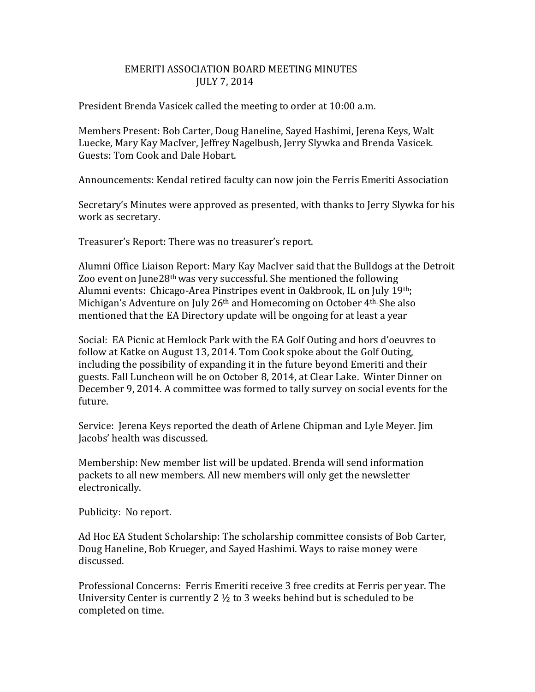## EMERITI ASSOCIATION BOARD MEETING MINUTES JULY 7, 2014

President Brenda Vasicek called the meeting to order at 10:00 a.m.

Members Present: Bob Carter, Doug Haneline, Sayed Hashimi, Jerena Keys, Walt Luecke, Mary Kay MacIver, Jeffrey Nagelbush, Jerry Slywka and Brenda Vasicek. Guests: Tom Cook and Dale Hobart.

Announcements: Kendal retired faculty can now join the Ferris Emeriti Association

Secretary's Minutes were approved as presented, with thanks to Jerry Slywka for his work as secretary.

Treasurer's Report: There was no treasurer's report.

Alumni Office Liaison Report: Mary Kay MacIver said that the Bulldogs at the Detroit Zoo event on June28<sup>th</sup> was very successful. She mentioned the following Alumni events: Chicago-Area Pinstripes event in Oakbrook, IL on July 19th; Michigan's Adventure on July 26<sup>th</sup> and Homecoming on October 4<sup>th.</sup> She also mentioned that the EA Directory update will be ongoing for at least a year

Social: EA Picnic at Hemlock Park with the EA Golf Outing and hors d'oeuvres to follow at Katke on August 13, 2014. Tom Cook spoke about the Golf Outing, including the possibility of expanding it in the future beyond Emeriti and their guests. Fall Luncheon will be on October 8, 2014, at Clear Lake. Winter Dinner on December 9, 2014. A committee was formed to tally survey on social events for the future.

Service: Jerena Keys reported the death of Arlene Chipman and Lyle Meyer. Jim Jacobs' health was discussed.

Membership: New member list will be updated. Brenda will send information packets to all new members. All new members will only get the newsletter electronically.

Publicity: No report.

Ad Hoc EA Student Scholarship: The scholarship committee consists of Bob Carter, Doug Haneline, Bob Krueger, and Sayed Hashimi. Ways to raise money were discussed.

Professional Concerns: Ferris Emeriti receive 3 free credits at Ferris per year. The University Center is currently 2  $\frac{1}{2}$  to 3 weeks behind but is scheduled to be completed on time.